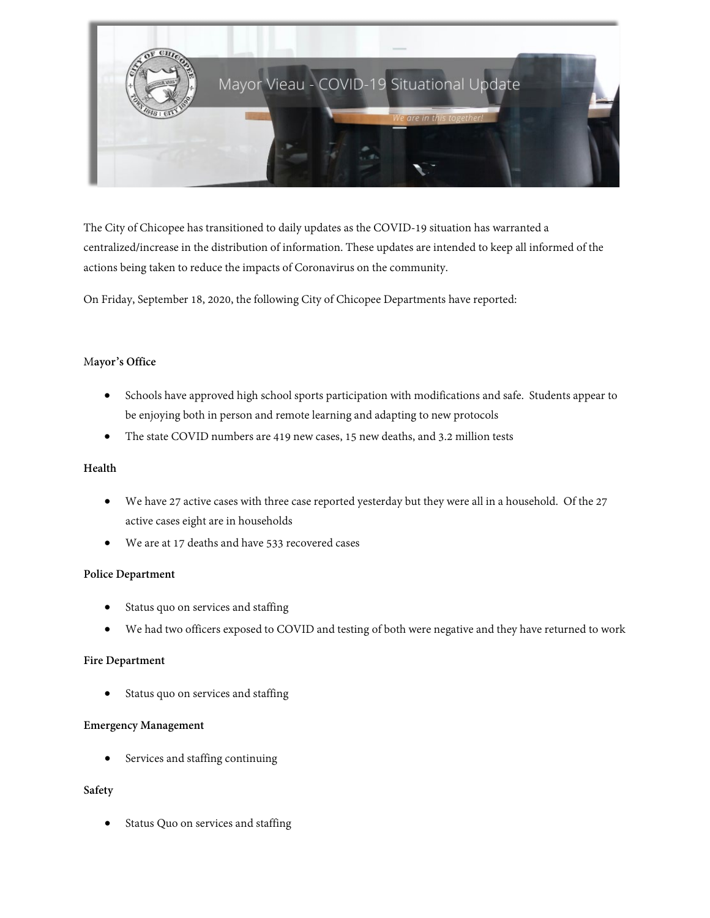

The City of Chicopee has transitioned to daily updates as the COVID-19 situation has warranted a centralized/increase in the distribution of information. These updates are intended to keep all informed of the actions being taken to reduce the impacts of Coronavirus on the community.

On Friday, September 18, 2020, the following City of Chicopee Departments have reported:

### M**ayor's Office**

- Schools have approved high school sports participation with modifications and safe. Students appear to be enjoying both in person and remote learning and adapting to new protocols
- The state COVID numbers are 419 new cases, 15 new deaths, and 3.2 million tests

#### **Health**

- We have 27 active cases with three case reported yesterday but they were all in a household. Of the 27 active cases eight are in households
- We are at 17 deaths and have 533 recovered cases

#### **Police Department**

- Status quo on services and staffing
- We had two officers exposed to COVID and testing of both were negative and they have returned to work

#### **Fire Department**

Status quo on services and staffing

### **Emergency Management**

• Services and staffing continuing

## **Safety**

Status Quo on services and staffing